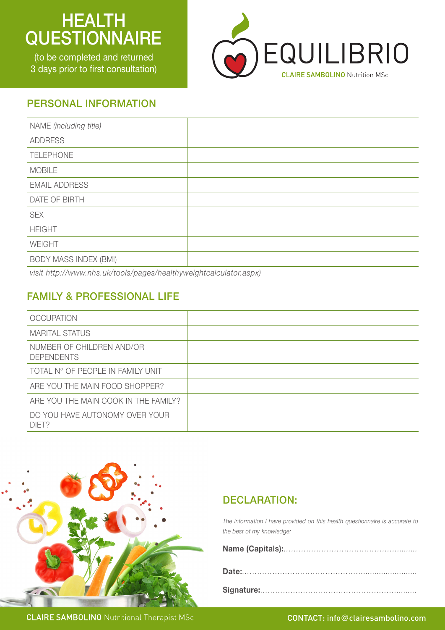# **HEALTH QUESTIONNAIRE**

(to be completed and returned 3 days prior to first consultation)



#### PERSONAL INFORMATION

| NAME (including title)       |  |
|------------------------------|--|
| <b>ADDRESS</b>               |  |
| <b>TELEPHONE</b>             |  |
| <b>MOBILE</b>                |  |
| <b>EMAIL ADDRESS</b>         |  |
| DATE OF BIRTH                |  |
| <b>SEX</b>                   |  |
| <b>HEIGHT</b>                |  |
| WEIGHT                       |  |
| <b>BODY MASS INDEX (BMI)</b> |  |

*visit http://www.nhs.uk/tools/pages/healthyweightcalculator.aspx)*

# FAMILY & PROFESSIONAL LIFE

| <b>OCCUPATION</b>                              |  |
|------------------------------------------------|--|
| <b>MARITAL STATUS</b>                          |  |
| NUMBER OF CHILDREN AND/OR<br><b>DEPENDENTS</b> |  |
| TOTAL N° OF PEOPLE IN FAMILY UNIT              |  |
| ARE YOU THE MAIN FOOD SHOPPER?                 |  |
| ARE YOU THE MAIN COOK IN THE FAMILY?           |  |
| DO YOU HAVE AUTONOMY OVER YOUR<br>DIFT?        |  |



#### DECLARATION:

*The information I have provided on this health questionnaire is accurate to the best of my knowledge:* 

**CLAIRE SAMBOLINO** Nutritional Therapist MSc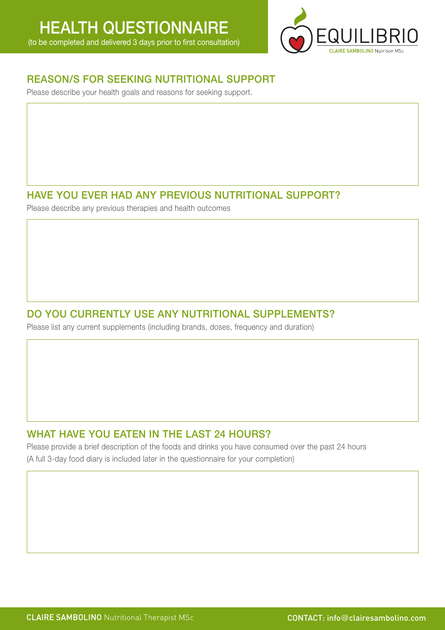

#### REASON/S FOR SEEKING NUTRITIONAL SUPPORT

Please describe your health goals and reasons for seeking support.

# HAVE YOU EVER HAD ANY PREVIOUS NUTRITIONAL SUPPORT?

Please describe any previous therapies and health outcomes

## DO YOU CURRENTLY USE ANY NUTRITIONAL SUPPLEMENTS?

Please list any current supplements (including brands, doses, frequency and duration)

#### WHAT HAVE YOU EATEN IN THE LAST 24 HOURS?

Please provide a brief description of the foods and drinks you have consumed over the past 24 hours (A full 3-day food diary is included later in the questionnaire for your completion)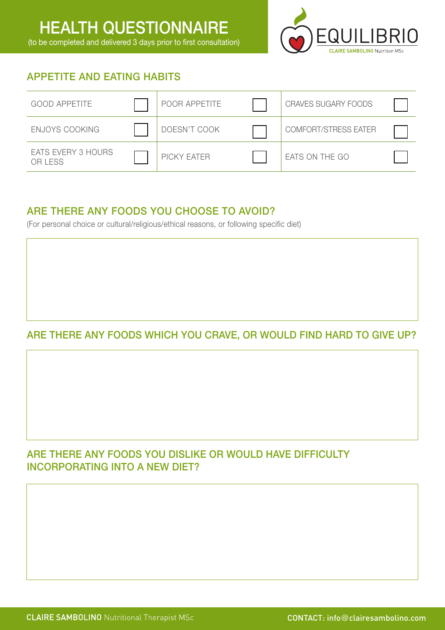

# APPETITE AND EATING HABITS

| <b>GOOD APPETITE</b>                 | POOR APPETITE | <b>CRAVES SUGARY FOODS</b> |  |
|--------------------------------------|---------------|----------------------------|--|
| ENJOYS COOKING                       | DOESN'T COOK  | COMFORT/STRESS EATER       |  |
| <b>EATS EVERY 3 HOURS</b><br>OR LESS | PICKY EATER   | EATS ON THE GO             |  |

#### ARE THERE ANY FOODS YOU CHOOSE TO AVOID?

(For personal choice or cultural/religious/ethical reasons, or following specific diet)

# ARE THERE ANY FOODS WHICH YOU CRAVE, OR WOULD FIND HARD TO GIVE UP?

# ARE THERE ANY FOODS YOU DISLIKE OR WOULD HAVE DIFFICULTY INCORPORATING INTO A NEW DIET?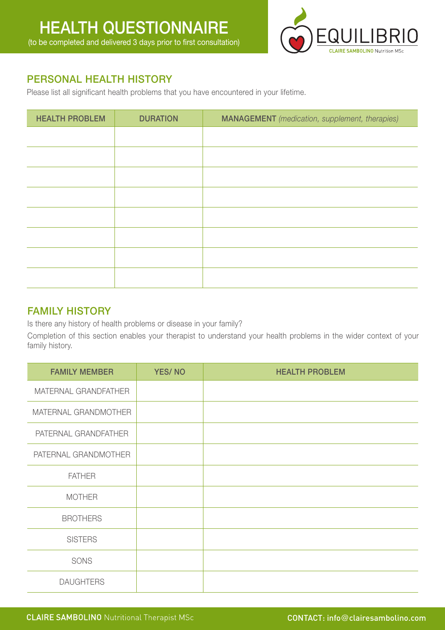

## PERSONAL HEALTH HISTORY

Please list all significant health problems that you have encountered in your lifetime.

| <b>HEALTH PROBLEM</b> | <b>DURATION</b> | <b>MANAGEMENT</b> (medication, supplement, therapies) |
|-----------------------|-----------------|-------------------------------------------------------|
|                       |                 |                                                       |
|                       |                 |                                                       |
|                       |                 |                                                       |
|                       |                 |                                                       |
|                       |                 |                                                       |
|                       |                 |                                                       |
|                       |                 |                                                       |
|                       |                 |                                                       |
|                       |                 |                                                       |

#### FAMILY HISTORY

Is there any history of health problems or disease in your family?

Completion of this section enables your therapist to understand your health problems in the wider context of your family history.

| <b>FAMILY MEMBER</b> | <b>YES/NO</b> | <b>HEALTH PROBLEM</b> |
|----------------------|---------------|-----------------------|
| MATERNAL GRANDFATHER |               |                       |
| MATERNAL GRANDMOTHER |               |                       |
| PATERNAL GRANDFATHER |               |                       |
| PATERNAL GRANDMOTHER |               |                       |
| <b>FATHER</b>        |               |                       |
| <b>MOTHER</b>        |               |                       |
| <b>BROTHERS</b>      |               |                       |
| <b>SISTERS</b>       |               |                       |
| SONS                 |               |                       |
| <b>DAUGHTERS</b>     |               |                       |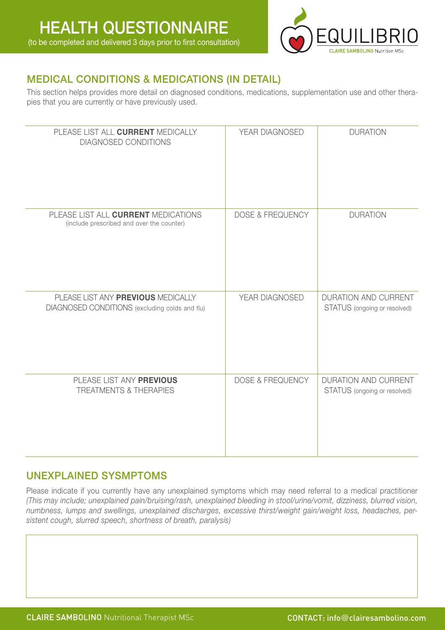

# MEDICAL CONDITIONS & MEDICATIONS (IN DETAIL)

This section helps provides more detail on diagnosed conditions, medications, supplementation use and other therapies that you are currently or have previously used.

| PLEASE LIST ALL CURRENT MEDICALLY<br><b>DIAGNOSED CONDITIONS</b>                     | YEAR DIAGNOSED              | <b>DURATION</b>                                             |
|--------------------------------------------------------------------------------------|-----------------------------|-------------------------------------------------------------|
| PLEASE LIST ALL CURRENT MEDICATIONS<br>(include prescribed and over the counter)     | <b>DOSE &amp; FREQUENCY</b> | <b>DURATION</b>                                             |
| PLEASE LIST ANY PREVIOUS MEDICALLY<br>DIAGNOSED CONDITIONS (excluding colds and flu) | YEAR DIAGNOSED              | <b>DURATION AND CURRENT</b><br>STATUS (ongoing or resolved) |
| PLEASE LIST ANY PREVIOUS<br><b>TREATMENTS &amp; THERAPIES</b>                        | <b>DOSE &amp; FREQUENCY</b> | DURATION AND CURRENT<br>STATUS (ongoing or resolved)        |

#### UNEXPLAINED SYSMPTOMS

Please indicate if you currently have any unexplained symptoms which may need referral to a medical practitioner *(This may include; unexplained pain/bruising/rash, unexplained bleeding in stool/urine/vomit, dizziness, blurred vision, numbness, lumps and swellings, unexplained discharges, excessive thirst/weight gain/weight loss, headaches, persistent cough, slurred speech, shortness of breath, paralysis)*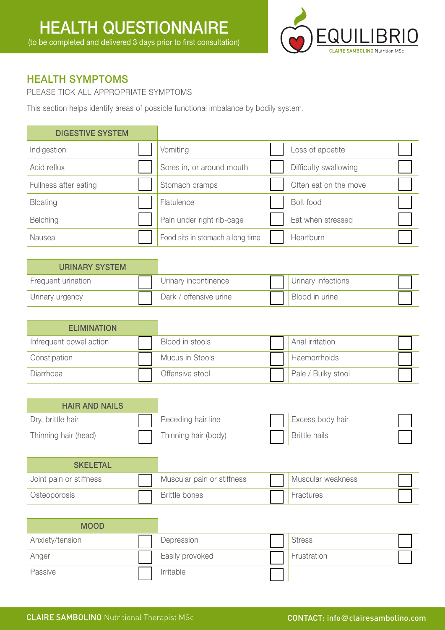

#### HEALTH SYMPTOMS

PLEASE TICK ALL APPROPRIATE SYMPTOMS

This section helps identify areas of possible functional imbalance by bodily system.

#### DIGESTIVE SYSTEM

| Indigestion           | Vomiting                         | Loss of appetite      |  |
|-----------------------|----------------------------------|-----------------------|--|
| Acid reflux           | Sores in, or around mouth        | Difficulty swallowing |  |
| Fullness after eating | Stomach cramps                   | Often eat on the move |  |
| <b>Bloating</b>       | Flatulence                       | Bolt food             |  |
| <b>Belching</b>       | Pain under right rib-cage        | Eat when stressed     |  |
| Nausea                | Food sits in stomach a long time | Heartburn             |  |

| <b>URINARY SYSTEM</b> |                        |                    |
|-----------------------|------------------------|--------------------|
| Frequent urination    | Urinary incontinence   | Urinary infections |
| Urinary urgency       | Dark / offensive urine | Blood in urine     |

| <b>ELIMINATION</b>      |                 |                    |  |
|-------------------------|-----------------|--------------------|--|
| Infrequent bowel action | Blood in stools | Anal irritation    |  |
| Constipation            | Mucus in Stools | Haemorrhoids       |  |
| Diarrhoea               | Offensive stool | Pale / Bulky stool |  |

| <b>HAIR AND NAILS</b> |                      |                      |  |
|-----------------------|----------------------|----------------------|--|
| Dry, brittle hair     | Receding hair line   | Excess body hair     |  |
| Thinning hair (head)  | Thinning hair (body) | <b>Brittle nails</b> |  |

| <b>SKELETAL</b>         |                            |                   |  |
|-------------------------|----------------------------|-------------------|--|
| Joint pain or stiffness | Muscular pain or stiffness | Muscular weakness |  |
| Osteoporosis            | <b>Brittle bones</b>       | <b>Fractures</b>  |  |

| <b>MOOD</b>     |                 |               |  |
|-----------------|-----------------|---------------|--|
| Anxiety/tension | Depression      | <b>Stress</b> |  |
| Anger           | Easily provoked | Frustration   |  |
| Passive         | Irritable       |               |  |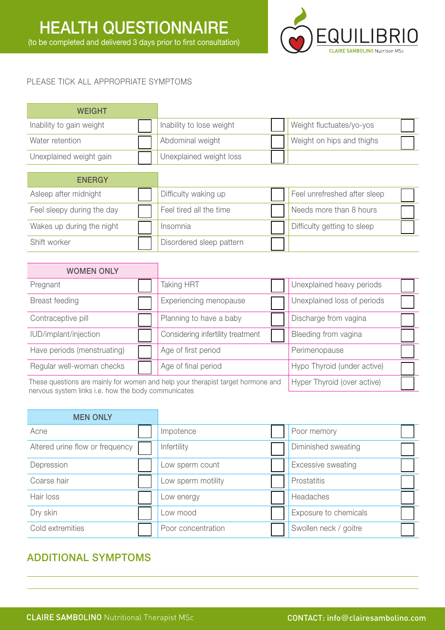

#### PLEASE TICK ALL APPROPRIATE SYMPTOMS

| <b>WEIGHT</b>            |                          |                           |  |
|--------------------------|--------------------------|---------------------------|--|
| Inability to gain weight | Inability to lose weight | Weight fluctuates/yo-yos  |  |
| Water retention          | Abdominal weight         | Weight on hips and thighs |  |
| Unexplained weight gain  | Unexplained weight loss  |                           |  |

| <b>ENERGY</b>              |                          |                              |  |
|----------------------------|--------------------------|------------------------------|--|
| Asleep after midnight      | Difficulty waking up     | Feel unrefreshed after sleep |  |
| Feel sleepy during the day | Feel tired all the time  | Needs more than 8 hours      |  |
| Wakes up during the night  | Insomnia                 | Difficulty getting to sleep  |  |
| Shift worker               | Disordered sleep pattern |                              |  |

| <b>WOMEN ONLY</b>                                                                                                                      |  |                                   |                             |  |
|----------------------------------------------------------------------------------------------------------------------------------------|--|-----------------------------------|-----------------------------|--|
| Pregnant                                                                                                                               |  | Taking HRT                        | Unexplained heavy periods   |  |
| Breast feeding                                                                                                                         |  | Experiencing menopause            | Unexplained loss of periods |  |
| Contraceptive pill                                                                                                                     |  | Planning to have a baby           | Discharge from vagina       |  |
| IUD/implant/injection                                                                                                                  |  | Considering infertility treatment | Bleeding from vagina        |  |
| Have periods (menstruating)                                                                                                            |  | Age of first period               | Perimenopause               |  |
| Regular well-woman checks                                                                                                              |  | Age of final period               | Hypo Thyroid (under active) |  |
| These questions are mainly for women and help your therapist target hormone and<br>parteus sustam links i.o. bow the body communicator |  | Hyper Thyroid (over active)       |                             |  |

nervous system links i.e. how the body communicates

| <b>MEN ONLY</b>                 |                    |                       |  |
|---------------------------------|--------------------|-----------------------|--|
| Acne                            | Impotence          | Poor memory           |  |
| Altered urine flow or frequency | Infertility        | Diminished sweating   |  |
| Depression                      | Low sperm count    | Excessive sweating    |  |
| Coarse hair                     | Low sperm motility | Prostatitis           |  |
| Hair loss                       | Low energy         | Headaches             |  |
| Dry skin                        | Low mood           | Exposure to chemicals |  |
| Cold extremities                | Poor concentration | Swollen neck / goitre |  |

# ADDITIONAL SYMPTOMS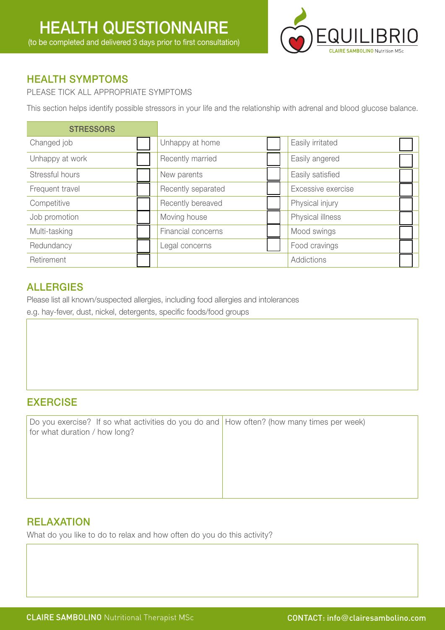

## HEALTH SYMPTOMS

PLEASE TICK ALL APPROPRIATE SYMPTOMS

This section helps identify possible stressors in your life and the relationship with adrenal and blood glucose balance.

| <b>STRESSORS</b> |                    |                    |
|------------------|--------------------|--------------------|
| Changed job      | Unhappy at home    | Easily irritated   |
| Unhappy at work  | Recently married   | Easily angered     |
| Stressful hours  | New parents        | Easily satisfied   |
| Frequent travel  | Recently separated | Excessive exercise |
| Competitive      | Recently bereaved  | Physical injury    |
| Job promotion    | Moving house       | Physical illness   |
| Multi-tasking    | Financial concerns | Mood swings        |
| Redundancy       | Legal concerns     | Food cravings      |
| Retirement       |                    | Addictions         |

#### ALLERGIES

Please list all known/suspected allergies, including food allergies and intolerances e.g. hay-fever, dust, nickel, detergents, specific foods/food groups

# EXERCISE

Do you exercise? If so what activities do you do and How often? (how many times per week) for what duration / how long?

# **RELAXATION**

What do you like to do to relax and how often do you do this activity?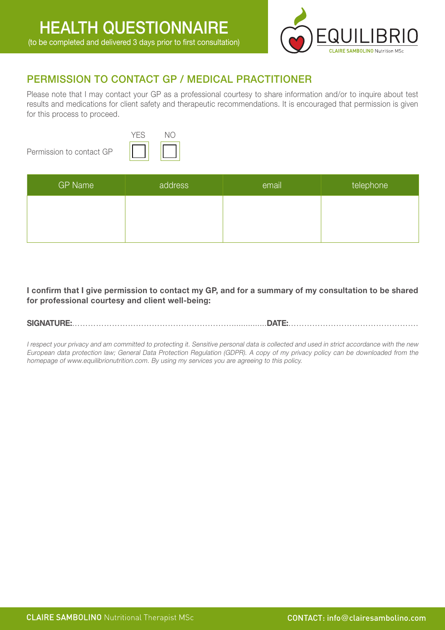

## PERMISSION TO CONTACT GP / MEDICAL PRACTITIONER

Please note that I may contact your GP as a professional courtesy to share information and/or to inquire about test results and medications for client safety and therapeutic recommendations. It is encouraged that permission is given for this process to proceed.

Permission to contact GP



| <b>GP Name</b> | address | email | telephone |
|----------------|---------|-------|-----------|
|                |         |       |           |
|                |         |       |           |

**I confirm that I give permission to contact my GP, and for a summary of my consultation to be shared for professional courtesy and client well-being:**

**SIGNATURE:**……………………………………………………...............**DATE:**………………………………………….

I respect your privacy and am committed to protecting it. Sensitive personal data is collected and used in strict accordance with the new European data protection law; General Data Protection Regulation (GDPR). A copy of my privacy policy can be downloaded from the homepage of www.equilibrionutrition.com. By using my services you are agreeing to this policy.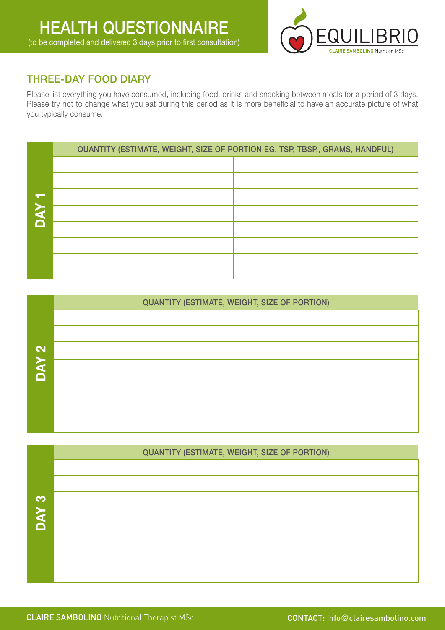

## THREE-DAY FOOD DIARY

Please list everything you have consumed, including food, drinks and snacking between meals for a period of 3 days. Please try not to change what you eat during this period as it is more beneficial to have an accurate picture of what you typically consume.

|            | QUANTITY (ESTIMATE, WEIGHT, SIZE OF PORTION EG. TSP, TBSP., GRAMS, HANDFUL) |  |  |  |  |  |  |  |  |  |  |
|------------|-----------------------------------------------------------------------------|--|--|--|--|--|--|--|--|--|--|
|            |                                                                             |  |  |  |  |  |  |  |  |  |  |
|            |                                                                             |  |  |  |  |  |  |  |  |  |  |
|            |                                                                             |  |  |  |  |  |  |  |  |  |  |
| <b>NAO</b> |                                                                             |  |  |  |  |  |  |  |  |  |  |
|            |                                                                             |  |  |  |  |  |  |  |  |  |  |
|            |                                                                             |  |  |  |  |  |  |  |  |  |  |
|            |                                                                             |  |  |  |  |  |  |  |  |  |  |
|            |                                                                             |  |  |  |  |  |  |  |  |  |  |

|                   | <b>QUANTITY (ESTIMATE, WEIGHT, SIZE OF PORTION)</b> |
|-------------------|-----------------------------------------------------|
|                   |                                                     |
|                   |                                                     |
| $\mathbf{\Omega}$ |                                                     |
| <b>DAY</b>        |                                                     |
|                   |                                                     |
|                   |                                                     |
|                   |                                                     |
|                   |                                                     |

|            | <b>QUANTITY (ESTIMATE, WEIGHT, SIZE OF PORTION)</b> |
|------------|-----------------------------------------------------|
|            |                                                     |
|            |                                                     |
| က          |                                                     |
| <b>NAC</b> |                                                     |
|            |                                                     |
|            |                                                     |
|            |                                                     |
|            |                                                     |